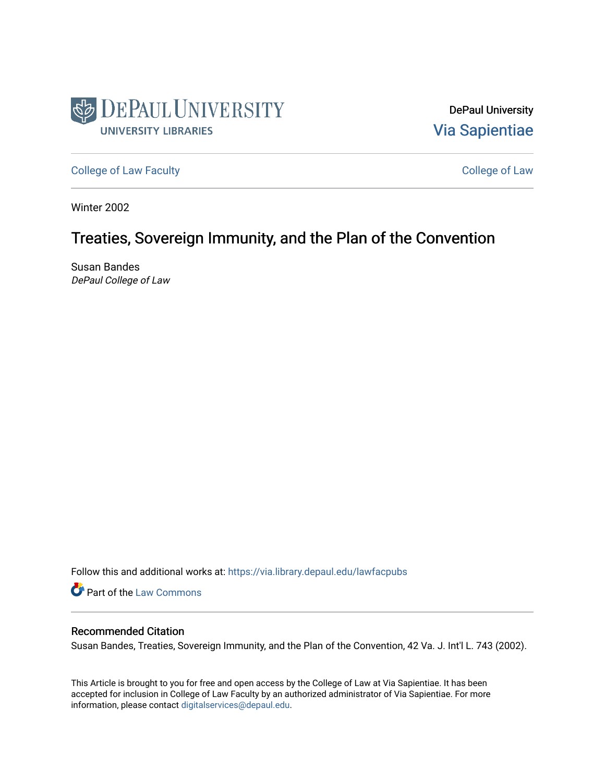

DePaul University [Via Sapientiae](https://via.library.depaul.edu/) 

[College of Law Faculty](https://via.library.depaul.edu/lawfacpubs) **College of Law** Faculty

Winter 2002

# Treaties, Sovereign Immunity, and the Plan of the Convention

Susan Bandes DePaul College of Law

Follow this and additional works at: [https://via.library.depaul.edu/lawfacpubs](https://via.library.depaul.edu/lawfacpubs?utm_source=via.library.depaul.edu%2Flawfacpubs%2F1539&utm_medium=PDF&utm_campaign=PDFCoverPages) 

**Part of the [Law Commons](http://network.bepress.com/hgg/discipline/578?utm_source=via.library.depaul.edu%2Flawfacpubs%2F1539&utm_medium=PDF&utm_campaign=PDFCoverPages)** 

# Recommended Citation

Susan Bandes, Treaties, Sovereign Immunity, and the Plan of the Convention, 42 Va. J. Int'l L. 743 (2002).

This Article is brought to you for free and open access by the College of Law at Via Sapientiae. It has been accepted for inclusion in College of Law Faculty by an authorized administrator of Via Sapientiae. For more information, please contact [digitalservices@depaul.edu](mailto:digitalservices@depaul.edu).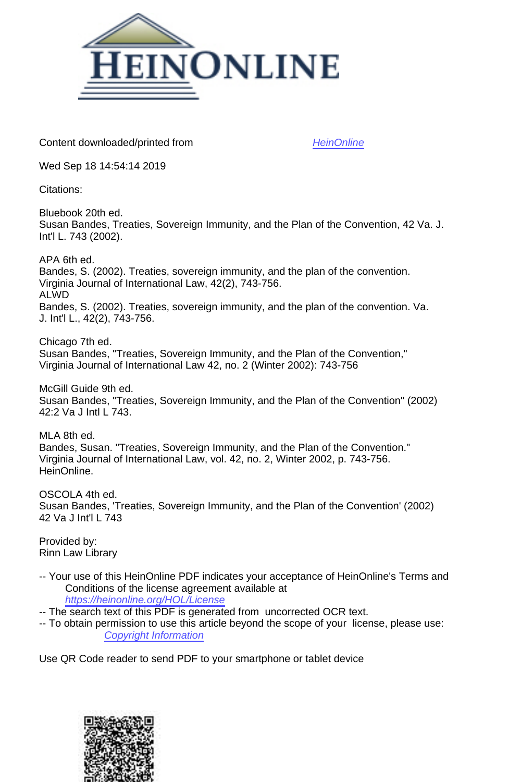

Content downloaded/printed from [HeinOnline](https://heinonline.org/HOL/Page?handle=hein.journals/vajint42&collection=journals&id=753&startid=753&endid=766)

Wed Sep 18 14:54:14 2019

Citations:

Bluebook 20th ed. Susan Bandes, Treaties, Sovereign Immunity, and the Plan of the Convention, 42 Va. J. Int'l L. 743 (2002).

APA 6th ed. Bandes, S. (2002). Treaties, sovereign immunity, and the plan of the convention. Virginia Journal of International Law, 42(2), 743-756. ALWD Bandes, S. (2002). Treaties, sovereign immunity, and the plan of the convention. Va. J. Int'l L., 42(2), 743-756.

Chicago 7th ed. Susan Bandes, "Treaties, Sovereign Immunity, and the Plan of the Convention," Virginia Journal of International Law 42, no. 2 (Winter 2002): 743-756

McGill Guide 9th ed. Susan Bandes, "Treaties, Sovereign Immunity, and the Plan of the Convention" (2002) 42:2 Va J Intl L 743.

MLA 8th ed. Bandes, Susan. "Treaties, Sovereign Immunity, and the Plan of the Convention." Virginia Journal of International Law, vol. 42, no. 2, Winter 2002, p. 743-756. HeinOnline.

OSCOLA 4th ed. Susan Bandes, 'Treaties, Sovereign Immunity, and the Plan of the Convention' (2002) 42 Va J Int'l L 743

Provided by: Rinn Law Library

-- Your use of this HeinOnline PDF indicates your acceptance of HeinOnline's Terms and Conditions of the license agreement available at <https://heinonline.org/HOL/License>

-- The search text of this PDF is generated from uncorrected OCR text.

-- To obtain permission to use this article beyond the scope of your license, please use: [Copyright Information](https://www.copyright.com/ccc/basicSearch.do?operation=go&searchType=0&lastSearch=simple&all=on&titleOrStdNo=0042-6571)

Use QR Code reader to send PDF to your smartphone or tablet device

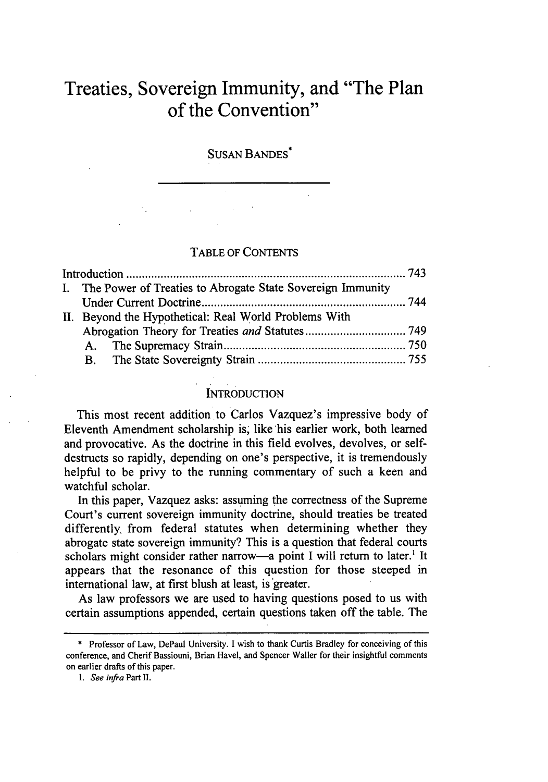# **Treaties, Sovereign Immunity, and "The Plan of the Convention"**

SUSAN BANDES\*

# TABLE OF CONTENTS

|  |  | I. The Power of Treaties to Abrogate State Sovereign Immunity |  |
|--|--|---------------------------------------------------------------|--|
|  |  |                                                               |  |
|  |  | II. Beyond the Hypothetical: Real World Problems With         |  |
|  |  |                                                               |  |
|  |  |                                                               |  |
|  |  |                                                               |  |

### **INTRODUCTION**

This most recent addition to Carlos Vazquez's impressive body of Eleventh Amendment scholarship is; like 'his earlier work, both learned and provocative. As the doctrine in this field evolves, devolves, or selfdestructs so rapidly, depending on one's perspective, it is tremendously helpful to be privy to the running commentary of such a keen and watchful scholar.

In this paper, Vazquez asks: assuming the correctness of the Supreme Court's current sovereign immunity doctrine, should treaties be treated differently, from federal statutes when determining whether they abrogate state sovereign immunity? This is a question that federal courts scholars might consider rather narrow-a point I will return to later.<sup>1</sup> It appears that the resonance of this question for those steeped in international law, at first blush at least, is greater.

As law professors we are used to having questions posed to us with certain assumptions appended, certain questions taken off the table. The

<sup>\*</sup> Professor of Law, DePaul University. I wish to thank Curtis Bradley for conceiving of this conference, and Cherif Bassiouni, Brian Havel, and Spencer Waller for their insightful comments on earlier drafts of this paper.

*<sup>1.</sup>* See infra Part II.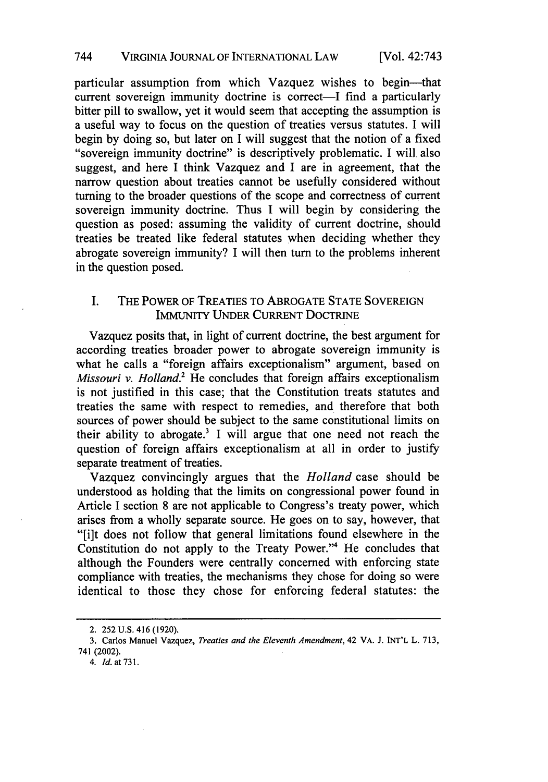particular assumption from which Vazquez wishes to begin-that current sovereign immunity doctrine is correct—I find a particularly bitter pill to swallow, yet it would seem that accepting the assumption is a useful way to focus on the question of treaties versus statutes. I will begin by doing so, but later on I will suggest that the notion of a fixed "sovereign immunity doctrine" is descriptively problematic. I will, also suggest, and here I think Vazquez and I are in agreement, that the narrow question about treaties cannot be usefully considered without turning to the broader questions of the scope and correctness of current sovereign immunity doctrine. Thus I will begin by considering the question as posed: assuming the validity of current doctrine, should treaties be treated like federal statutes when deciding whether they abrogate sovereign immunity? I will then turn to the problems inherent in the question posed.

# I. THE POWER OF TREATIES TO ABROGATE STATE SOVEREIGN IMMUNITY UNDER CURRENT DOCTRINE

Vazquez posits that, in light of current doctrine, the best argument for according treaties broader power to abrogate sovereign immunity is what he calls a "foreign affairs exceptionalism" argument, based on *Missouri v. Holland.*<sup>2</sup> He concludes that foreign affairs exceptionalism is not justified in this case; that the Constitution treats statutes and treaties the same with respect to remedies, and therefore that both sources of power should be subject to the same constitutional limits on their ability to abrogate.<sup>3</sup> I will argue that one need not reach the question of foreign affairs exceptionalism at all in order to justify separate treatment of treaties.

Vazquez convincingly argues that the *Holland* case should be understood as holding that the limits on congressional power found in Article I section 8 are not applicable to Congress's treaty power, which arises from a wholly separate source. He goes on to say, however, that "[i]t does not follow that general limitations found elsewhere in the Constitution do not apply to the Treaty Power."4 He concludes that although the Founders were centrally concerned with enforcing state compliance with treaties, the mechanisms they chose for doing so were identical to those they chose for enforcing federal statutes: the

<sup>2.</sup> **252 U.S.** 416 **(1920).**

**<sup>3.</sup>** Carlos Manuel Vazquez, *Treaties and the Eleventh Amendment,* 42 VA. **J.** INT'L L. **713,** 741 (2002).

*<sup>4.</sup> Id.* at 731.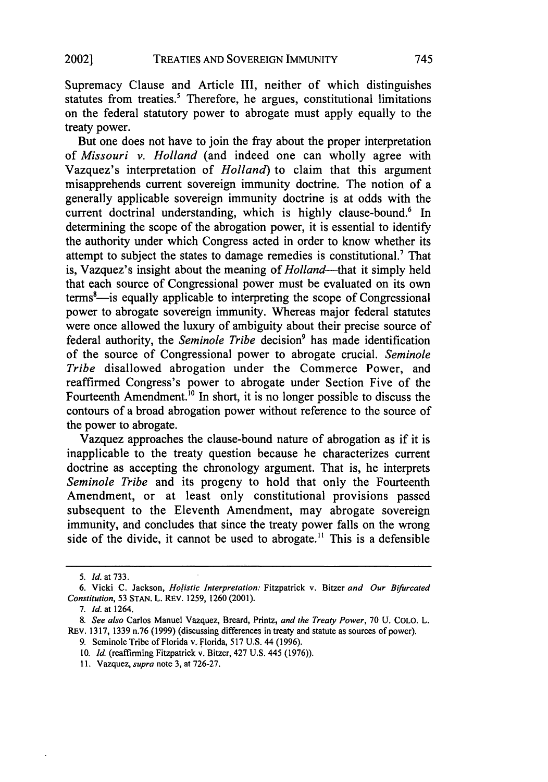Supremacy Clause and Article III, neither of which distinguishes statutes from treaties.<sup>5</sup> Therefore, he argues, constitutional limitations on the federal statutory power to abrogate must apply equally to the treaty power.

But one does not have to join the fray about the proper interpretation of *Missouri v. Holland* (and indeed one can wholly agree with Vazquez's interpretation of *Holland)* to claim that this argument misapprehends current sovereign immunity doctrine. The notion of a generally applicable sovereign immunity doctrine is at odds with the current doctrinal understanding, which is highly clause-bound.<sup>6</sup> In determining the scope of the abrogation power, it is essential to identify the authority under which Congress acted in order to know whether its attempt to subject the states to damage remedies is constitutional.<sup>7</sup> That is, Vazquez's insight about the meaning of *Holland*—that it simply held that each source of Congressional power must be evaluated on its own  $terms<sup>8</sup>$ —is equally applicable to interpreting the scope of Congressional power to abrogate sovereign immunity. Whereas major federal statutes were once allowed the luxury of ambiguity about their precise source of federal authority, the *Seminole Tribe* decision<sup>9</sup> has made identification of the source of Congressional power to abrogate crucial. *Seminole Tribe* disallowed abrogation under the Commerce Power, and reaffirmed Congress's power to abrogate under Section Five of the Fourteenth Amendment.<sup>10</sup> In short, it is no longer possible to discuss the contours of a broad abrogation power without reference to the source of the power to abrogate.

Vazquez approaches the clause-bound nature of abrogation as if it is inapplicable to the treaty question because he characterizes current doctrine as accepting the chronology argument. That is, he interprets *Seminole Tribe* and its progeny to hold that only the Fourteenth Amendment, or at least only constitutional provisions passed subsequent to the Eleventh Amendment, may abrogate sovereign immunity, and concludes that since the treaty power falls on the wrong side of the divide, it cannot be used to abrogate.<sup>11</sup> This is a defensible

11. Vazquez, *supra* note 3, at 726-27.

<sup>5.</sup> *Id.* at 733.

<sup>6.</sup> Vicki C. Jackson, *Holistic Interpretation:* Fitzpatrick v. Bitzer *and Our Bifurcated Constitution,* 53 STAN. L. REv. 1259, 1260 (2001).

<sup>7.</sup> *Id.* at 1264.

*<sup>8.</sup> See also* Carlos Manuel Vazquez, Breard, Printz, *and the Treaty Power,* 70 U. COLO. L. REv. 1317, 1339 n.76 (1999) (discussing differences in treaty and statute as sources of power).

<sup>9.</sup> Seminole Tribe of Florida v. Florida, 517 U.S. 44 (1996).

*<sup>10.</sup>* Id. (reaffirming Fitzpatrick v. Bitzer, 427 U.S. 445 (1976)).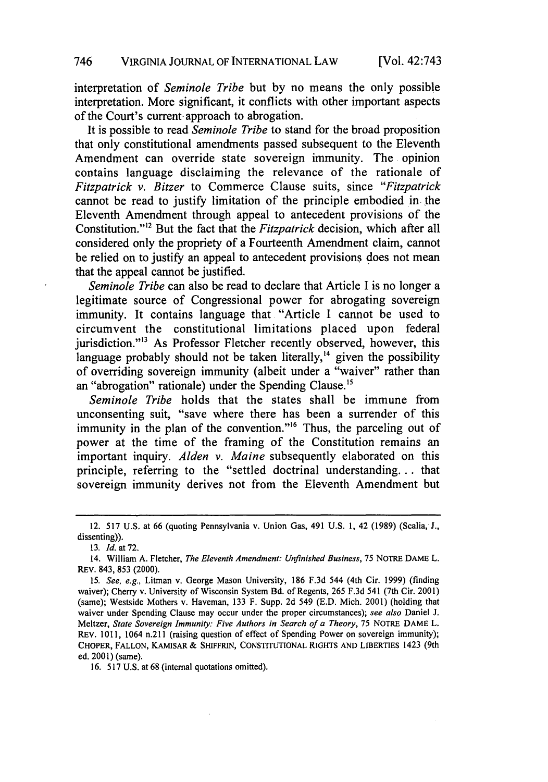interpretation of *Seminole Tribe* but by no means the only possible interpretation. More significant, it conflicts with other important aspects of the Court's current- approach to abrogation.

It is possible to read *Seminole Tribe* to stand for the broad proposition that only constitutional amendments passed subsequent to the Eleventh Amendment can override state sovereign immunity. The opinion contains language disclaiming the relevance of the rationale of *Fitzpatrick v. Bitzer* to Commerce Clause suits, since *"Fitzpatrick* cannot be read to justify limitation of the principle embodied in the Eleventh Amendment through appeal to antecedent provisions of the Constitution."<sup>12</sup> But the fact that the *Fitzpatrick* decision, which after all considered only the propriety of a Fourteenth Amendment claim, cannot be relied on to justify an appeal to antecedent provisions does not mean that the appeal cannot be justified.

*Seminole Tribe* can also be read to declare that Article I is no longer a legitimate source of Congressional power for abrogating sovereign immunity. It contains language that "Article I cannot be used to circumvent the constitutional limitations placed upon federal jurisdiction."<sup>13</sup> As Professor Fletcher recently observed, however, this language probably should not be taken literally, $^{14}$  given the possibility of overriding sovereign immunity (albeit under a "waiver" rather than an "abrogation" rationale) under the Spending Clause.<sup>15</sup>

*Seminole Tribe* holds that the states shall be immune from unconsenting suit, "save where there has been a surrender of this immunity in the plan of the convention."<sup>16</sup> Thus, the parceling out of power at the time of the framing of the Constitution remains an important inquiry. *Alden v. Maine* subsequently elaborated on this principle, referring to the "settled doctrinal understanding... that sovereign immunity derives not from the Eleventh Amendment but

<sup>12. 517</sup> U.S. at 66 (quoting Pennsylvania v. Union Gas, 491 U.S. 1, 42 (1989) (Scalia, J., dissenting)).

<sup>13.</sup> *Id.* at 72.

<sup>14.</sup> William A. Fletcher, *The Eleventh Amendment: Unfinished Business,* 75 NOTRE DAME L. REv. 843, **853** (2000).

*<sup>15.</sup> See, e.g.,* Litman v. George Mason University, 186 F.3d 544 (4th Cir. 1999) (finding waiver); Cherry v. University of Wisconsin System **Bd.** of Regents, 265 F.3d 541 (7th Cir. 2001) (same); Westside Mothers v. Haveman, 133 F. Supp. 2d 549 (E.D. Mich. 2001) (holding that waiver under Spending Clause may occur under the proper circumstances); *see also* Daniel J. Meltzer, *State Sovereign Immunity: Five Authors in Search of a Theory,* 75 NOTRE DAME L. REV. 1011, 1064 n.211 (raising question of effect of Spending Power on sovereign immunity); CHOPER, **FALLON,** KAMISAR **&** SHIFFRIN, CONSTITUTIONAL RIGHTS AND LIBERTIES 1423 (9th ed. 2001) (same).

<sup>16. 517</sup> U.S. at 68 (internal quotations omitted).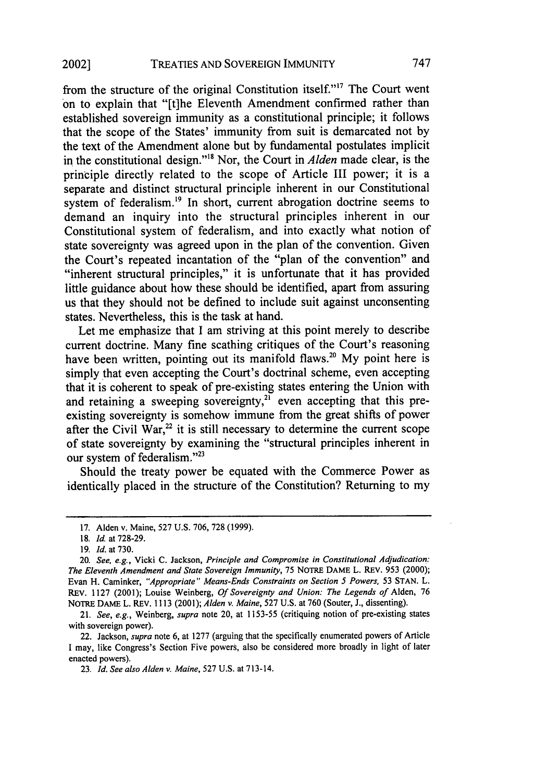from the structure of the original Constitution itself."<sup>17</sup> The Court went on to explain that "[t]he Eleventh Amendment confirmed rather than established sovereign immunity as a constitutional principle; it follows that the scope of the States' immunity from suit is demarcated not by the text of the Amendment alone but by fundamental postulates implicit in the constitutional design." 8 Nor, the Court in *Alden* made clear, is the principle directly related to the scope of Article III power; it is a separate and distinct structural principle inherent in our Constitutional system of federalism.<sup>19</sup> In short, current abrogation doctrine seems to demand an inquiry into the structural principles inherent in our Constitutional system of federalism, and into exactly what notion of state sovereignty was agreed upon in the plan of the convention. Given the Court's repeated incantation of the "plan of the convention" and "inherent structural principles," it is unfortunate that it has provided little guidance about how these should be identified, apart from assuring us that they should not be defined to include suit against unconsenting states. Nevertheless, this is the task at hand.

Let me emphasize that I am striving at this point merely to describe current doctrine. Many fine scathing critiques of the Court's reasoning have been written, pointing out its manifold flaws.<sup>20</sup> My point here is simply that even accepting the Court's doctrinal scheme, even accepting that it is coherent to speak of pre-existing states entering the Union with and retaining a sweeping sovereignty,<sup>21</sup> even accepting that this preexisting sovereignty is somehow immune from the great shifts of power after the Civil War, $^{22}$  it is still necessary to determine the current scope of state sovereignty by examining the "structural principles inherent in our system of federalism."<sup>23</sup>

Should the treaty power be equated with the Commerce Power as identically placed in the structure of the Constitution? Returning to my

22. Jackson, *supra* note 6, at 1277 (arguing that the specifically enumerated powers of Article I may, like Congress's Section Five powers, also be considered more broadly in light of later enacted powers).

<sup>17.</sup> Alden v. Maine, 527 U.S. 706, 728 (1999).

<sup>18.</sup> *Id.* at 728-29.

<sup>19.</sup> *Id.* at **730.**

<sup>20.</sup> *See, e.g.,* Vicki C. Jackson, *Principle and Compromise in Constitutional Adjudication: The Eleventh Amendment and State Sovereign Immunity,* 75 NOTRE DAME L. REV. 953 (2000); Evan H. Caminker, *"Appropriate" Means-Ends Constraints on Section 5 Powers,* 53 STAN. L. REV. 1127 (2001); Louise Weinberg, *Of Sovereignty and Union: The Legends of* Alden, 76 NOTRE DAME L. REV. 1113 (2001); *Alden v. Maine,* 527 U.S. at 760 (Souter, J., dissenting).

<sup>21.</sup> *See, e.g.,* Weinberg, *supra* note 20, at 1153-55 (critiquing notion of pre-existing states with sovereign power).

<sup>23.</sup> *Id. See also Alden v. Maine,* 527 U.S. at 713-14.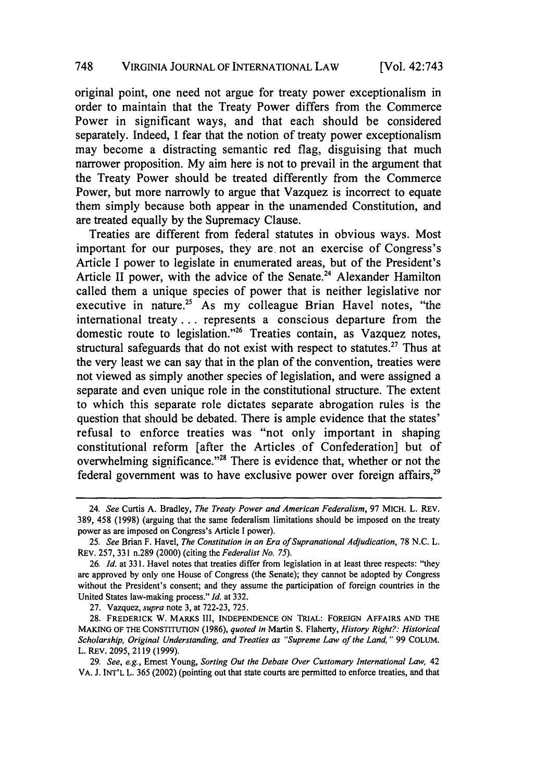original point, one need not argue for treaty power exceptionalism in order to maintain that the Treaty Power differs from the Commerce Power in significant ways, and that each should be considered separately. Indeed, I fear that the notion of treaty power exceptionalism may become a distracting semantic red flag, disguising that much narrower proposition. My aim here is not to prevail in the argument that the Treaty Power should be treated differently from the Commerce Power, but more narrowly to argue that Vazquez is incorrect to equate them simply because both appear in the unamended Constitution, and are treated equally by the Supremacy Clause.

Treaties are different from federal statutes in obvious ways. Most important for our purposes, they are, not an exercise of Congress's Article I power to legislate in enumerated areas, but of the President's Article II power, with the advice of the Senate.<sup>24</sup> Alexander Hamilton called them a unique species of power that is neither legislative nor executive in nature.<sup>25</sup> As my colleague Brian Havel notes, "the international treaty... represents a conscious departure from the domestic route to legislation."26 Treaties contain, as Vazquez notes, structural safeguards that do not exist with respect to statutes.<sup>27</sup> Thus at the very least we can say that in the plan of the convention, treaties were not viewed as simply another species of legislation, and were assigned a separate and even unique role in the constitutional structure. The extent to which this separate role dictates separate abrogation rules is the question that should be debated. There is ample evidence that the states' refusal to enforce treaties was "not only important in shaping constitutional reform [after the Articles of Confederation] but of overwhelming significance."28 There is evidence that, whether or not the federal government was to have exclusive power over foreign affairs,  $2^9$ 

<sup>24.</sup> *See* Curtis A. Bradley, *The Treaty Power and American Federalism,* 97 MICH. L. REV, 389, 458 (1998) (arguing that the same federalism limitations should be imposed on the treaty power as are imposed on Congress's Article I power).

<sup>25.</sup> *See* Brian F. Havel, *The Constitution in an Era of Supranational Adjudication,* 78 N.C. L. REv. 257, 331 n.289 (2000) (citing the *Federalist No. 75).*

<sup>26.</sup> *Id.* at 331. Havel notes that treaties differ from legislation in at least three respects: "they are approved by only one House of Congress (the Senate); they cannot be adopted by Congress without the President's consent; and they assume the participation of foreign countries in the United States law-making process." *Id.* at 332.

<sup>27.</sup> Vazquez, *supra* note 3, at 722-23, 725.

<sup>28.</sup> FREDERICK W. MARKS **III, INDEPENDENCE ON** TRIAL: FOREIGN AFFAIRS AND THE **MAKING** OF THE **CONSTITUTION** (1986), *quoted in* Martin S. Flaherty, *History Right?: Historical Scholarship, Original Understanding, and Treaties as "Supreme Law of the Land,"* **99** COLUM. L. REV. 2095, 2119 (1999).

<sup>29.</sup> *See, e.g.,* Ernest Young, *Sorting Out the Debate Over Customary* International Law, 42 VA. J. **INT'L** L. 365 (2002) (pointing out that state courts are permitted to enforce treaties, and that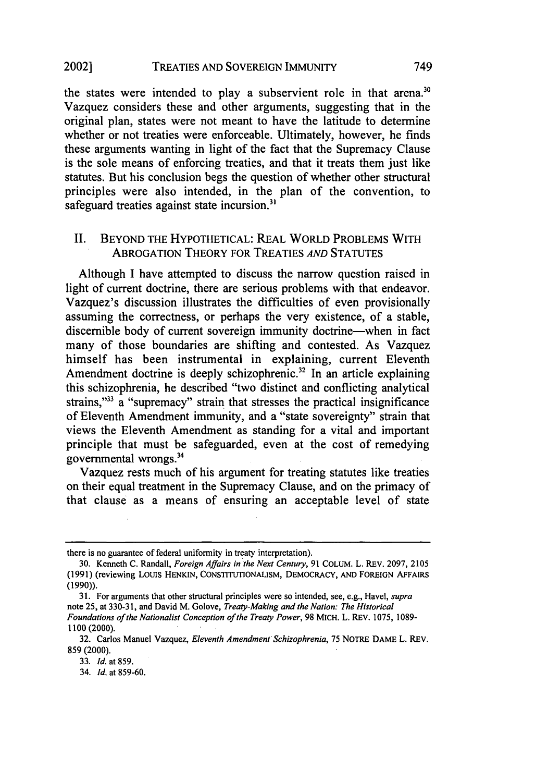#### TREATIES AND SOVEREIGN IMMUNITY 20021

the states were intended to play a subservient role in that arena.<sup>30</sup> Vazquez considers these and other arguments, suggesting that in the original plan, states were not meant to have the latitude to determine whether or not treaties were enforceable. Ultimately, however, he finds these arguments wanting in light of the fact that the Supremacy Clause is the sole means of enforcing treaties, and that it treats them just like statutes. But his conclusion begs the question of whether other structural principles were also intended, in the plan of the convention, to safeguard treaties against state incursion.<sup>31</sup>

# II. BEYOND THE HYPOTHETICAL: REAL WORLD PROBLEMS WITH ABROGATION THEORY FOR TREATIES *AND* STATUTES

Although I have attempted to discuss the narrow question raised in light of current doctrine, there are serious problems with that endeavor. Vazquez's discussion illustrates the difficulties of even provisionally assuming the correctness, or perhaps the very existence, of a stable, discernible body of current sovereign immunity doctrine—when in fact many of those boundaries are shifting and contested. As Vazquez himself has been instrumental in explaining, current Eleventh Amendment doctrine is deeply schizophrenic.<sup>32</sup> In an article explaining this schizophrenia, he described "two distinct and conflicting analytical strains,"<sup>33</sup> a "supremacy" strain that stresses the practical insignificance of Eleventh Amendment immunity, and a "state sovereignty" strain that views the Eleventh Amendment as standing for a vital and important principle that must be safeguarded, even at the cost of remedying governmental wrongs.34

Vazquez rests much of his argument for treating statutes like treaties on their equal treatment in the Supremacy Clause, and on the primacy of that clause as a means of ensuring an acceptable level of state

there is no guarantee of federal uniformity in treaty interpretation).

<sup>30.</sup> Kenneth C. Randall, *Foreign Affairs in the Next Century,* 91 COLUM. L. REV. 2097, 2105 (1991) (reviewing LOtS HENKIN, CONSTITUTIONALISM, DEMOCRACY, AND FOREIGN AFFAIRS (1990)).

<sup>31.</sup> For arguments that other structural principles were so intended, see, e.g., Havel, *supra* note 25, at 330-31, and David M. Golove, *Treaty-Making and the Nation: The Historical Foundations of the Nationalist Conception of the Treaty Power,* 98 MICH. L. REV. 1075, 1089- 1100 (2000).

<sup>32.</sup> Carlos Manuel Vazquez, *Eleventh Amendment Schizophrenia,* 75 NOTRE DAME L. REV. 859 (2000).

<sup>33.</sup> *Id.* at 859.

<sup>34.</sup> *Id.* at 859-60.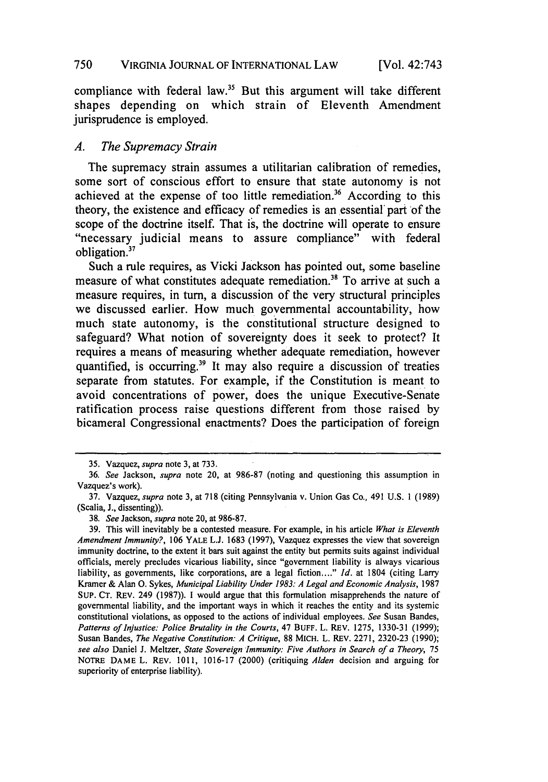### 750 VIRGINIA JOURNAL OF INTERNATIONAL LAW

compliance with federal law.<sup>35</sup> But this argument will take different shapes depending on which strain of Eleventh Amendment jurisprudence is employed.

# *A. The Supremacy Strain*

The supremacy strain assumes a utilitarian calibration of remedies, some sort of conscious effort to ensure that state autonomy is not achieved at the expense of too little remediation.<sup>36</sup> According to this theory, the existence and efficacy of remedies is an essential' part of the scope of the doctrine itself. That is, the doctrine will operate to ensure "necessary judicial means to assure compliance" with federal obligation.<sup>37</sup>

Such a rule requires, as Vicki Jackson has pointed out, some baseline measure of what constitutes adequate remediation.<sup>38</sup> To arrive at such a measure requires, in turn, a discussion of the very structural principles we discussed earlier. How much governmental accountability, how much state autonomy, is the constitutional structure designed to safeguard? What notion of sovereignty does it seek to protect? It requires a means of measuring whether adequate remediation, however quantified, is occurring.<sup>39</sup> It may also require a discussion of treaties separate from statutes. For example, if the Constitution is meant to avoid concentrations of power, does the unique Executive-Senate ratification process raise questions different from those raised **by** bicameral Congressional enactments? Does the participation of foreign

<sup>35.</sup> Vazquez, *supra* note 3, at 733.

<sup>36.</sup> *See* Jackson, *supra* note 20, at 986-87 (noting and questioning this assumption in Vazquez's work).

<sup>37.</sup> Vazquez, *supra* note 3, at 718 (citing Pennsylvania v. Union Gas Co., 491 U.S. 1 (1989) (Scalia, J., dissenting)).

<sup>38.</sup> *See* Jackson, *supra* note 20, at 986-87.

<sup>39.</sup> This will inevitably be a contested measure. For example, in his article *What is Eleventh Amendment Immunity?,* 106 YALE L.J. 1683 (1997), Vazquez expresses the view that sovereign immunity doctrine, to the extent it bars suit against the entity but permits suits against individual officials, merely precludes vicarious liability, since "government liability is always vicarious liability, as governments, like corporations, are a legal fiction...." *Id.* at 1804 (citing Larry Kramer & Alan **0.** Sykes, *Municipal Liability Under 1983: A Legal and Economic Analysis,* <sup>1987</sup> SUP. CT. REV. 249 (1987)). **1** would argue that this formulation misapprehends the nature of governmental liability, and the important ways in which it reaches the entity and its systemic constitutional violations, as opposed to the actions of individual employees. *See* Susan Bandes, Patterns of Injustice: Police Brutality in the Courts, 47 BUFF. L. REV. 1275, 1330-31 (1999); Susan Bandes, *The Negative Constitution: A Critique,* 88 MICH. L. REV. 2271, 2320-23 (1990); *see also* Daniel J. Meltzer, *State Sovereign Immunity: Five Authors in Search of a Theory, 75* NOTRE DAME L. REV. 1011, 1016-17 (2000) (critiquing *Alden* decision and arguing for superiority of enterprise liability).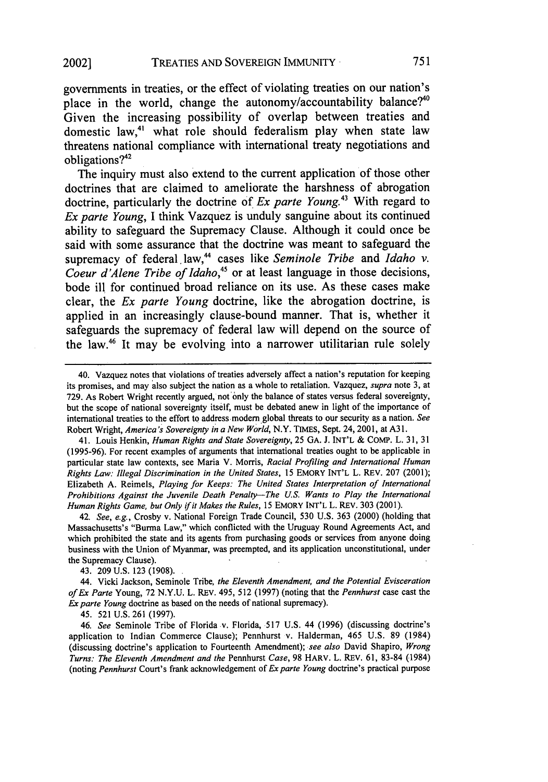governments in treaties, or the effect **of** violating treaties on our nation's place in the world, change the autonomy/accountability balance?<sup>40</sup> Given the increasing possibility of overlap between treaties and domestic law,<sup>41</sup> what role should federalism play when state law threatens national compliance with international treaty negotiations and obligations?42

The inquiry must also extend to the current application of those other doctrines that are claimed to ameliorate the harshness of abrogation doctrine, particularly the doctrine of *Ex parte Young.43* With regard to *Ex parte Young,* **I** think Vazquez is unduly sanguine about its continued ability to safeguard the Supremacy Clause. Although it could once be said with some assurance that the doctrine was meant to safeguard the supremacy of federal law,44 cases like *Seminole Tribe* and *Idaho v. Coeur d'Alene Tribe of Idaho,45* or at least language in those decisions, bode ill for continued broad reliance on its use. As these cases make clear, the *Ex parte Young* doctrine, like the abrogation doctrine, is applied in an increasingly clause-bound manner. That is, whether it safeguards the supremacy of federal law will depend on the source of the law.46 It may be evolving into a narrower utilitarian rule solely

41. Louis Henkin, *Human Rights and State Sovereignty,* 25 **GA.** J. INT'L & COMP. L. **31, 31** (1995-96). For recent examples of arguments that international treaties ought to be applicable in particular state law contexts, see Maria V. Morris, *Racial Profiling and International Human Rights Law: Illegal Discrimination in the United States,* 15 EMORY INT'L L. REV. 207 (2001); Elizabeth A. Reimels, *Playing for Keeps: The United States Interpretation of International Prohibitions Against the Juvenile Death Penalty-The U.S. Wants to Play the International Human Rights Game, but Only if it Makes the Rules,* 15 EMORY INT'L L. REV. 303 (2001).

42. *See, e.g.,* Crosby v. National Foreign Trade Council, 530 U.S. 363 (2000) (holding that Massachusetts's "Burma Law," which conflicted with the Uruguay Round Agreements Act, and which prohibited the state and its agents from purchasing goods or services from anyone doing business with the Union of Myanmar, was preempted, and its application unconstitutional, under the Supremacy Clause).

43. 209 U.S. **123** (1908).

44. Vicki Jackson, Seminole Tribe, *the Eleventh Amendment, and the Potential Evisceration of Ex Parte* Young, **72** N.Y.U. L. REV. 495, 512 (1997) (noting that the *Pennhurst* case cast the *Ex parte Young* doctrine as based on the needs of national supremacy).

45. **521** U.S. **261** (1997).

46. *See* Seminole Tribe of Florida v. Florida, **517** U.S. 44 (1996) (discussing doctrine's application to Indian Commerce Clause); Pennhurst v. Halderman, 465 U.S. **89** (1984) (discussing doctrine's application to Fourteenth Amendment); *see also* David Shapiro, *Wrong Turns: The Eleventh Amendment and the* Pennhurst *Case,* 98 HARV. L. REV. 61, 83-84 (1984) (noting *Pennhurst* Court's frank acknowledgement of *Ex parte Young* doctrine's practical purpose

<sup>40.</sup> Vazquez notes that violations of treaties adversely affect a nation's reputation for keeping its promises, and may also subject the nation as a whole to retaliation. Vazquez, *supra* note 3, at 729. As Robert Wright recently argued, not only the balance of states versus federal sovereignty, but the scope of national sovereignty itself, must be debated anew in light of the importance of international treaties to the effort to address modern global threats to our security as a nation. *See* Robert Wright, *America's Sovereignty in a New World,* N.Y. TIMES, Sept. 24, 2001, at A31.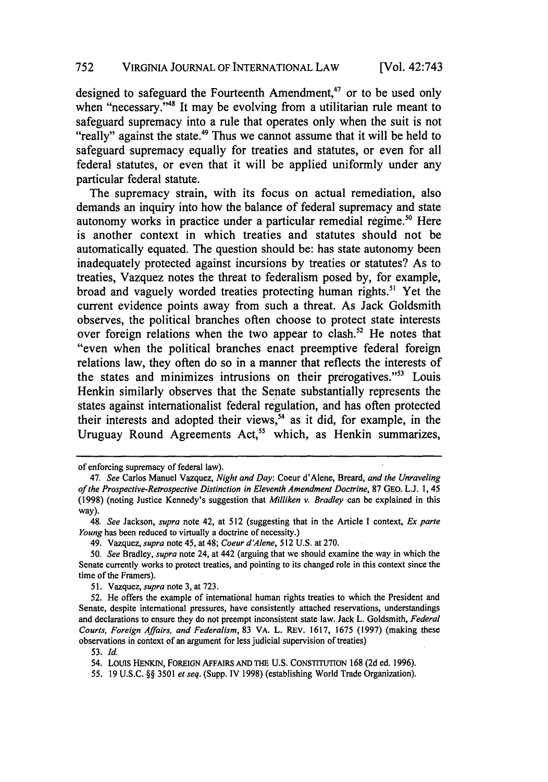designed to safeguard the Fourteenth Amendment, $47$  or to be used only when "necessary."<sup>48</sup> It may be evolving from a utilitarian rule meant to safeguard supremacy into a rule that operates only when the suit is not "really" against the state.<sup>49</sup> Thus we cannot assume that it will be held to safeguard supremacy equally for treaties and statutes, or even for all federal statutes, or even that it will be applied uniformly under any particular federal statute.

The supremacy strain, with its focus on actual remediation, also demands an inquiry into how the balance of federal supremacy and state autonomy works in practice under a particular remedial regime.<sup>50</sup> Here is another context in which treaties and statutes should not be automatically equated. The question should be: has state autonomy been inadequately protected against incursions by treaties or statutes? As to treaties, Vazquez notes the threat to federalism posed by, for example, broad and vaguely worded treaties protecting human rights." Yet the current evidence points away from such a threat. As Jack Goldsmith observes, the political branches often choose to protect state interests over foreign relations when the two appear to clash.<sup>52</sup> He notes that "even when the political branches enact preemptive federal foreign relations law, they often do so in a manner that reflects the interests of the states and minimizes intrusions on their prerogatives."<sup>53</sup> Louis Henkin similarly observes that the Senate substantially represents the states against internationalist federal regulation, and has often protected their interests and adopted their views,  $54$  as it did, for example, in the Uruguay Round Agreements Act,<sup>55</sup> which, as Henkin summarizes,

of enforcing supremacy of federal law).

<sup>47.</sup> *See* Carlos Manuel Vazquez, *Night and Day:* Coeur d'Alene, Breard, *and the Unraveling of the Prospective-Retrospective Distinction in Eleventh Amendment Doctrine,* 87 GEO. L.J. **1,** 45 (1998) (noting Justice Kennedy's suggestion that *Milliken v. Bradley* can be explained in this way).

<sup>48.</sup> *See* Jackson, *supra* note 42, at 512 (suggesting that in the Article I context, *Ex parte Young* has been reduced to virtually a doctrine of necessity.)

<sup>49.</sup> Vazquez, *supra* note 45, at 48; *Coeur d'Alene,* 512 U.S. at 270.

<sup>50.</sup> *See* Bradley, *supra* note 24, at 442 (arguing that we should examine the way in which the Senate currently works to protect treaties, and pointing to its changed role in this context since the time of the Framers).

<sup>51.</sup> Vazquez, *supra* note 3, at 723.

<sup>52.</sup> He offers the example of international human rights treaties to which the President and Senate, despite international pressures, have consistently attached reservations, understandings and declarations to ensure they do not preempt inconsistent state law. Jack L. Goldsmith, *Federal Courts, Foreign Affairs, and Federalism,* 83 VA. L. REV. 1617, 1675 (1997) (making these observations in context of an argument for less judicial supervision of treaties)

**<sup>53.</sup>** *Id.*

<sup>54.</sup> LoUIS HENKJN, FOREIGN AFFAIRS **AND THE** U.S. CONSTITUTION 168 (2d ed. 1996).

<sup>55. 19</sup> U.S.C. §§ 3501 *et seq.* (Supp. IV 1998) (establishing World Trade Organization).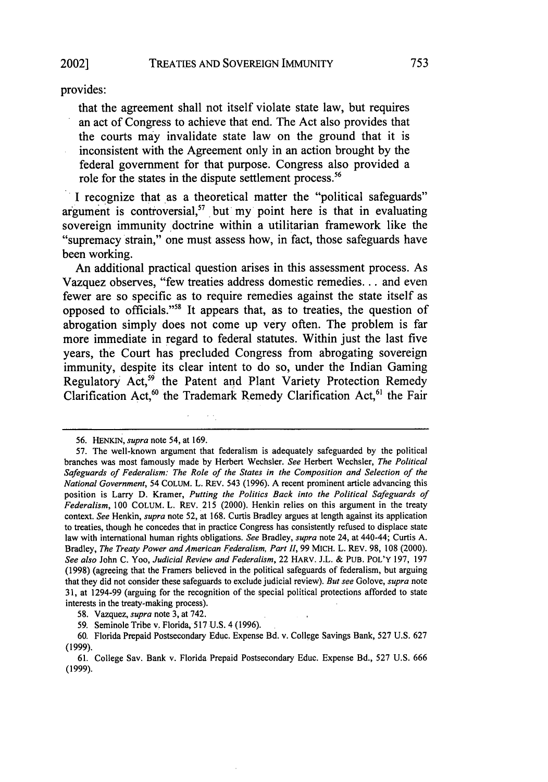## provides:

that the agreement shall not itself violate state law, but requires an act of Congress to achieve that end. The Act also provides that the courts may invalidate state law on the ground that it is inconsistent with the Agreement only in an action brought **by** the federal government for that purpose. Congress also provided a role for the states in the dispute settlement process.<sup>56</sup>

I recognize that as a theoretical matter the "political safeguards" argument is controversial,<sup>57</sup> but my point here is that in evaluating sovereign immunity doctrine within a utilitarian framework like the "supremacy strain," one must assess how, in fact, those safeguards have been working.

An additional practical question arises in this assessment process. As Vazquez observes, "few treaties address domestic remedies... and even fewer are so specific as to require remedies against the state itself as opposed to officials."58 It appears that, as to treaties, the question of abrogation simply does not come up very often. The problem is far more immediate in regard to federal statutes. Within just the last five years, the Court has precluded Congress from abrogating sovereign immunity, despite its clear intent to do so, under the Indian Gaming Regulatory **Act,59** the Patent and Plant Variety Protection Remedy Clarification Act,<sup>60</sup> the Trademark Remedy Clarification Act,<sup>61</sup> the Fair

58. Vazquez, *supra* note 3, at 742.

59. Seminole Tribe v. Florida, 517 U.S. 4 (1996).

<sup>56.</sup> HENKIN, *supra* note 54, at 169.

<sup>57.</sup> The well-known argument that federalism is adequately safeguarded by the political branches was most famously made by Herbert Wechsler. *See* Herbert Wechsler, *The Political Safeguards of Federalism: The Role of the States in the Composition and Selection of the National Government,* 54 COLUM. L. REV. 543 (1996). A recent prominent article advancing this position is Larry D. Kramer, *Putting the Politics Back into the Political Safeguards of Federalism,* 100 COLUM. L. REV. 215 (2000). Henkin relies on this argument in the treaty context. *See* Henkin, *supra* note 52, at 168. Curtis Bradley argues at length against its application to treaties, though he concedes that in practice Congress has consistently refused to displace state law with international human rights obligations. *See* Bradley, *supra* note 24, at 440-44; Curtis A. Bradley, *The Treaty Power and American Federalism, Part II,* 99 MICH. L. REV. 98, 108 (2000). *See also* John C. Yoo, *Judicial Review and Federalism,* 22 HARV. J.L. & PUB. POL'Y 197, 197 (1998) (agreeing that the Framers believed in the political safeguards of federalism, but arguing that they did not consider these safeguards to exclude judicial review). *But see* Golove, *supra* note 31, at 1294-99 (arguing for the recognition of the special political protections afforded to state interests in the treaty-making process).

<sup>60.</sup> Florida Prepaid Postsecondary Educ. Expense Bd. v. College Savings Bank, 527 U.S. 627 (1999).

<sup>61.</sup> College Sav. Bank v. Florida Prepaid Postsecondary Educ. Expense Bd., 527 U.S. 666 (1999).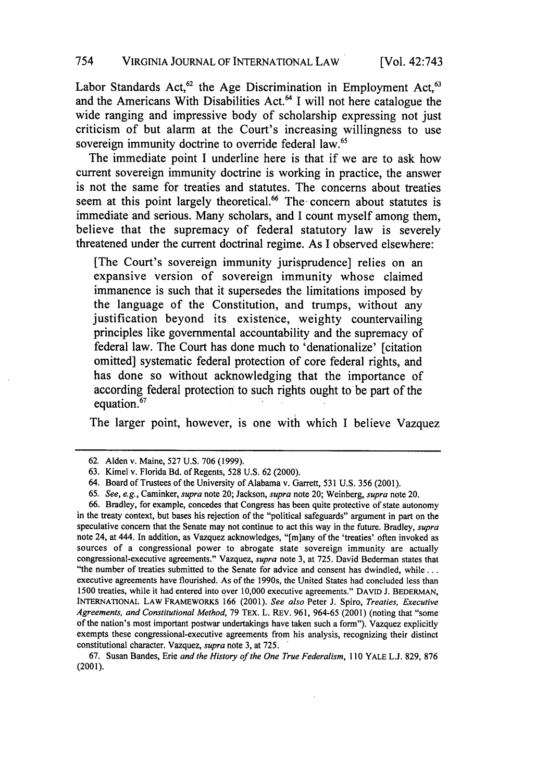Labor Standards Act,<sup>62</sup> the Age Discrimination in Employment Act,<sup>63</sup> and the Americans With Disabilities Act.<sup>64</sup> I will not here catalogue the wide ranging and impressive body of scholarship expressing not just criticism of but alarm at the Court's increasing willingness to use sovereign immunity doctrine to override federal law.<sup>65</sup>

The immediate point **I** underline here is that if we are to ask how current sovereign immunity doctrine is working in practice, the answer is not the same for treaties and statutes. The concerns about treaties seem at this point largely theoretical.<sup>66</sup> The concern about statutes is immediate and serious. Many scholars, and **I** count myself among them, believe that the supremacy of federal statutory law is severely threatened under the current doctrinal regime. As **I** observed elsewhere:

[The Court's sovereign immunity jurisprudence] relies on an expansive version of sovereign immunity whose claimed immanence is such that it supersedes the limitations imposed **by** the language of the Constitution, and trumps, without any justification beyond its existence, weighty countervailing principles like governmental accountability and the supremacy of federal law. The Court has done much to 'denationalize' [citation omitted] systematic federal protection of core federal rights, and has done so without acknowledging that the importance of according federal protection to such rights ought to be part of the equation.<sup>67</sup>

The larger point, however, is one with which **I** believe Vazquez

66. Bradley, for example, concedes that Congress has been quite protective of state autonomy in the treaty context, but bases his rejection of the "political safeguards" argument in part on the speculative concern that the Senate may not continue to act this way in the future. Bradley, *supra* note 24, at 444. In addition, as Vazquez acknowledges, "[m]any of the 'treaties' often invoked as sources of a congressional power to abrogate state sovereign immunity are actually congressional-executive agreements." Vazquez, *supra* note 3, at 725. David Bederman states that "the number of treaties submitted to the Senate for advice and consent has dwindled, while... executive agreements have flourished. As of the 1990s, the United States had concluded less than 1500 treaties, while it had entered into over 10,000 executive agreements." DAVID **J.** BEDERMAN, **INTERNATIONAL LAW** FRAMEWORKS **166** (2001). *See also* Peter J. Spiro, *Treaties, Executive Agreements, and Constitutional Method,* 79 TEX. L. REV. 961, 964-65 (2001) (noting that "some of the nation's most important postwar undertakings have taken such a form"). Vazquez explicitly exempts these congressional-executive agreements from his analysis, recognizing their distinct constitutional character. Vazquez, *supra* note 3, at 725. *'*

67. Susan Bandes, Erie *and the History of the One True Federalism,* 110 YALE L.J. 829, 876 (2001).

<sup>62.</sup> Alden v. Maine, 527 U.S. 706 (1999).

<sup>63.</sup> Kimel v. Florida Bd. of Regents, 528 U.S. 62 (2000).

<sup>64.</sup> Board of Trustees of the University of Alabama v. Garrett, 531 U.S. 356 (2001).

*<sup>65.</sup> See, e.g.,* Caminker, *supra* note 20; Jackson, *supra* note 20; Weinberg, *supra* note 20.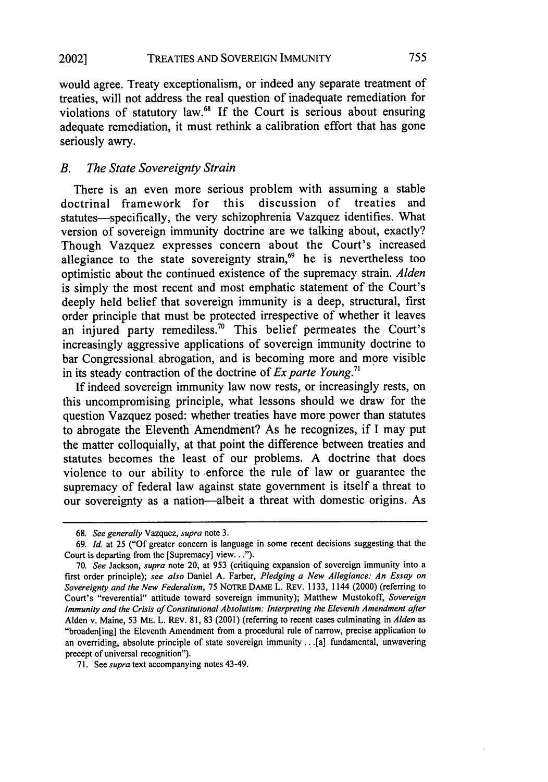would agree. Treaty exceptionalism, or indeed any separate treatment of treaties, will not address the real question of inadequate remediation for violations of statutory law.68 If the Court is serious about ensuring adequate remediation, it must rethink a calibration effort that has gone seriously awry.

# *B. The State Sovereignty Strain*

There is an even more serious problem with assuming a stable<br>extrinal framework for this discussion of treaties and doctrinal framework for this discussion of statutes-specifically, the very schizophrenia Vazquez identifies. What version of sovereign immunity doctrine are we talking about, exactly? Though Vazquez expresses concern about the Court's increased allegiance to the state sovereignty strain, $69$  he is nevertheless too optimistic about the continued existence of the supremacy strain. *Alden* is simply the most recent and most emphatic statement of the Court's deeply held belief that sovereign immunity is a deep, structural, first order principle that must be protected irrespective of whether it leaves an injured party remediless.<sup>70</sup> This belief permeates the Court's increasingly aggressive applications of sovereign immunity doctrine to bar Congressional abrogation, and is becoming more and more visible in its steady contraction of the doctrine of *Ex parte Young.7 "*

If indeed sovereign immunity law now rests, or increasingly rests, on this uncompromising principle, what lessons should we draw for the question Vazquez posed: whether treaties have more power than statutes to abrogate the Eleventh Amendment? As he recognizes, if I may put the matter colloquially, at that point the difference between treaties and statutes becomes the least of our problems. A doctrine that does violence to our ability to enforce the rule of law or guarantee the supremacy of federal law against state government is itself a threat to our sovereignty as a nation-albeit a threat with domestic origins. As

*<sup>68.</sup> See generally* Vazquez, *supra* note 3.

**<sup>69.</sup>** *Id.* at 25 ("Of greater concern is language in some recent decisions suggesting that the Court is departing from the [Supremacy] **view...").**

<sup>70.</sup> *See* Jackson, *supra* note 20, at 953 (critiquing expansion of sovereign immunity into a first order principle); *see also* Daniel A. Farber, *Pledging a New Allegiance: An Essay on Sovereignty and the New Federalism,* 75 NOTRE DAME L. REV. 1133, 1144 (2000) (referring to Court's "reverential" attitude toward sovereign immunity); Matthew Mustokoff, *Sovereign Immunity and the Crisis of Constitutional Absolutism: Interpreting the Eleventh Amendment after* Alden v. Maine, 53 ME. L. REV. 81, 83 (2001) (referring to recent cases culminating in *Alden* as "broaden[ing] the Eleventh Amendment from a procedural rule of narrow, precise application to an overriding, absolute principle of state sovereign immunity ... [a] fundamental, unwavering precept of universal recognition").

<sup>71.</sup> See *supra* text accompanying notes 43-49.